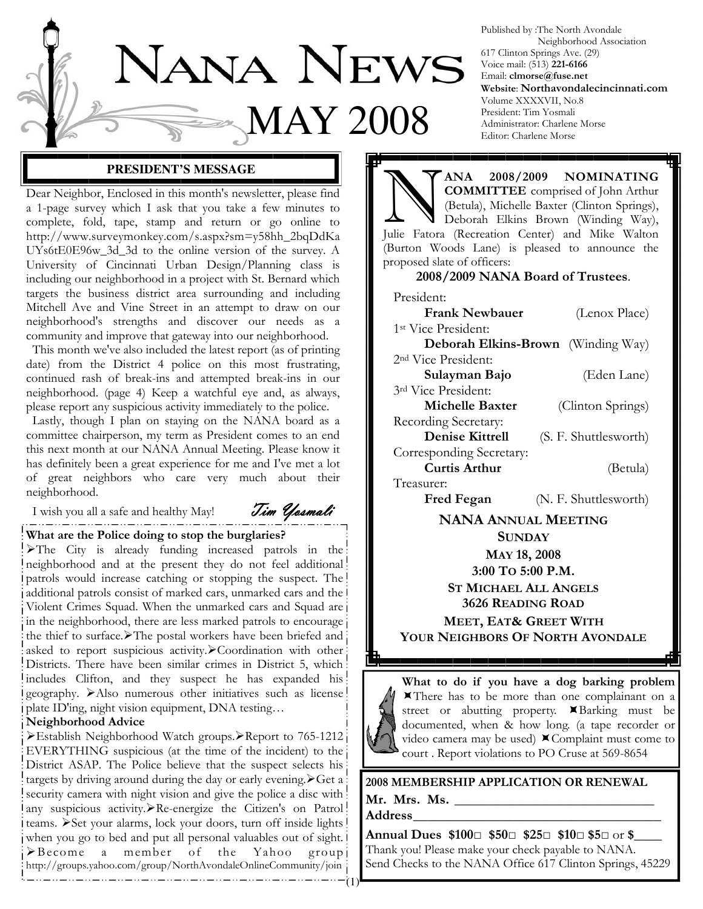

Published by :The North Avondale Neighborhood Association 617 Clinton Springs Ave. (29) Voice mail: (513) 221-6166 Email: clmorse@fuse.net Website: Northavondalecincinnati.com Volume XXXXVII, No.8 President: Tim Yosmali Administrator: Charlene Morse Editor: Charlene Morse

#### **PRESIDENT'S MESSAGE**

Dear Neighbor, Enclosed in this month's newsletter, please find a 1-page survey which I ask that you take a few minutes to complete, fold, tape, stamp and return or go online to http://www.surveymonkey.com/s.aspx?sm=y58hh\_2bqDdKa UYs6tE0E96w\_3d\_3d to the online version of the survey. A University of Cincinnati Urban Design/Planning class is including our neighborhood in a project with St. Bernard which targets the business district area surrounding and including Mitchell Ave and Vine Street in an attempt to draw on our neighborhood's strengths and discover our needs as a community and improve that gateway into our neighborhood.

 This month we've also included the latest report (as of printing date) from the District 4 police on this most frustrating, continued rash of break-ins and attempted break-ins in our neighborhood. (page 4) Keep a watchful eye and, as always, please report any suspicious activity immediately to the police.

 Lastly, though I plan on staying on the NANA board as a committee chairperson, my term as President comes to an end this next month at our NANA Annual Meeting. Please know it has definitely been a great experience for me and I've met a lot of great neighbors who care very much about their neighborhood.

I wish you all a safe and healthy May!  $\mathcal{T}_{im}$   $\mathcal{Y}_{\ell}$ 

#### What are the Police doing to stop the burglaries?

The City is already funding increased patrols in the neighborhood and at the present they do not feel additional patrols would increase catching or stopping the suspect. The additional patrols consist of marked cars, unmarked cars and the Violent Crimes Squad. When the unmarked cars and Squad are in the neighborhood, there are less marked patrols to encourage the thief to surface. The postal workers have been briefed and asked to report suspicious activity. Coordination with other Districts. There have been similar crimes in District 5, which includes Clifton, and they suspect he has expanded his geography. > Also numerous other initiatives such as license plate ID'ing, night vision equipment, DNA testing…

#### Neighborhood Advice

Establish Neighborhood Watch groups.>Report to 765-1212 EVERYTHING suspicious (at the time of the incident) to the District ASAP. The Police believe that the suspect selects his targets by driving around during the day or early evening.  $\triangleright$  Get a security camera with night vision and give the police a disc with any suspicious activity. Re-energize the Citizen's on Patrol! teams. > Set your alarms, lock your doors, turn off inside lights ! when you go to bed and put all personal valuables out of sight. >Become a member of the Yahoo group http://groups.yahoo.com/group/NorthAvondaleOnlineCommunity/join 

MA 2008/2009 NOMINATING<br>
COMMITTEE comprised of John Arthur<br>
(Betula), Michelle Baxter (Clinton Springs),<br>
Deborah Elkins Brown (Winding Way), COMMITTEE comprised of John Arthur (Betula), Michelle Baxter (Clinton Springs), Julie Fatora (Recreation Center) and Mike Walton (Burton Woods Lane) is pleased to announce the proposed slate of officers:

#### 2008/2009 NANA Board of Trustees.

| President:                      |                                           |
|---------------------------------|-------------------------------------------|
| <b>Frank Newbauer</b>           | (Lenox Place)                             |
| 1 <sup>st</sup> Vice President: |                                           |
|                                 | <b>Deborah Elkins-Brown</b> (Winding Way) |
| 2 <sup>nd</sup> Vice President: |                                           |
| Sulayman Bajo                   | (Eden Lane)                               |
| 3rd Vice President:             |                                           |
| Michelle Baxter                 | (Clinton Springs)                         |
| Recording Secretary:            |                                           |
| <b>Denise Kittrell</b>          | (S. F. Shuttlesworth)                     |
| Corresponding Secretary:        |                                           |
| Curtis Arthur                   | (Betula)                                  |
| Treasurer:                      |                                           |
| <b>Fred Fegan</b>               | (N. F. Shuttlesworth)                     |
| <b>BTABTA A.L.</b>              | . <b>.</b>                                |

NANA ANNUAL MEETING **SUNDAY** MAY 18, 2008 3:00 TO 5:00 P.M. ST MICHAEL ALL ANGELS 3626 READING ROAD MEET, EAT& GREET WITH YOUR NEIGHBORS OF NORTH AVONDALE



What to do if you have a dog barking problem There has to be more than one complainant on a street or abutting property. KBarking must be documented, when & how long. (a tape recorder or video camera may be used)  $\blacktriangle$  Complaint must come to court . Report violations to PO Cruse at 569-8654

2008 MEMBERSHIP APPLICATION OR RENEWAL Mr. Mrs. Ms. \_\_\_\_\_\_\_\_\_\_\_\_\_\_\_\_\_\_\_\_\_\_\_\_\_\_\_\_\_

Address \_\_\_\_\_\_\_\_\_\_\_\_\_\_\_\_\_\_\_\_\_\_\_\_\_\_\_\_\_\_\_\_\_\_\_\_

Annual Dues \$100□ \$50□ \$25□ \$10□ \$5□ or \$ Thank you! Please make your check payable to NANA. Send Checks to the NANA Office 617 Clinton Springs, 45229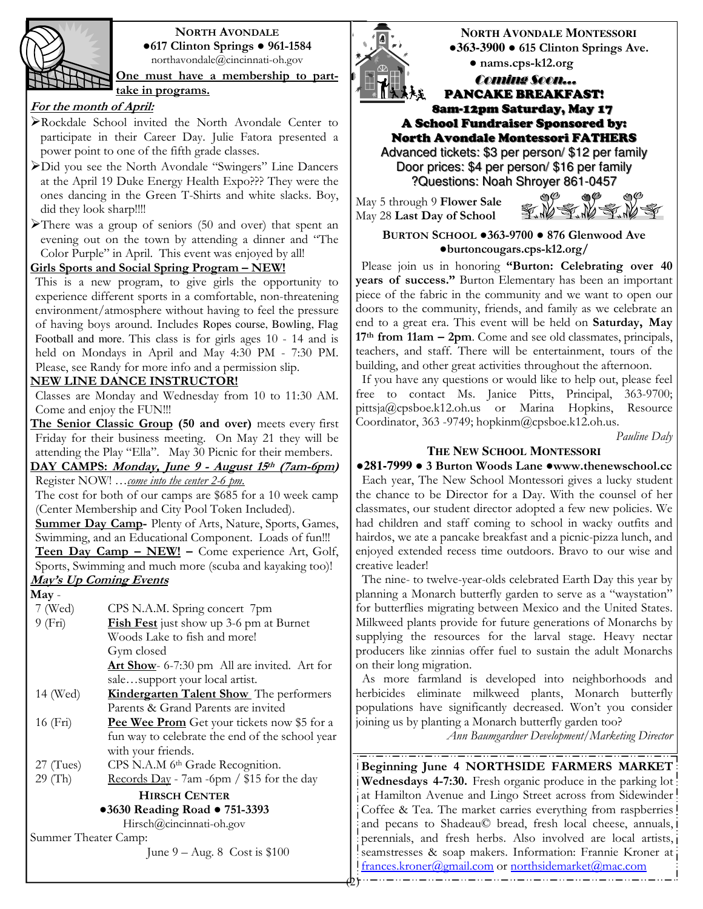

#### NORTH AVONDALE ●617 Clinton Springs ● 961-1584 northavondale@cincinnati-oh.gov

One must have a membership to parttake in programs.

# For the month of April:

- Rockdale School invited the North Avondale Center to participate in their Career Day. Julie Fatora presented a power point to one of the fifth grade classes.
- Did you see the North Avondale "Swingers" Line Dancers at the April 19 Duke Energy Health Expo??? They were the ones dancing in the Green T-Shirts and white slacks. Boy, did they look sharp!!!!
- There was a group of seniors (50 and over) that spent an evening out on the town by attending a dinner and "The Color Purple" in April. This event was enjoyed by all!

### Girls Sports and Social Spring Program - NEW!

This is a new program, to give girls the opportunity to experience different sports in a comfortable, non-threatening environment/atmosphere without having to feel the pressure of having boys around. Includes Ropes course, Bowling, Flag Football and more. This class is for girls ages 10 - 14 and is held on Mondays in April and May 4:30 PM - 7:30 PM. Please, see Randy for more info and a permission slip.

## NEW LINE DANCE INSTRUCTOR!

Classes are Monday and Wednesday from 10 to 11:30 AM. Come and enjoy the FUN!!!

The Senior Classic Group (50 and over) meets every first Friday for their business meeting. On May 21 they will be attending the Play "Ella". May 30 Picnic for their members.

DAY CAMPS: Monday, June 9 - August 15th (7am-6pm) Register NOW! ...come into the center 2-6 pm.

The cost for both of our camps are \$685 for a 10 week camp (Center Membership and City Pool Token Included).

Summer Day Camp- Plenty of Arts, Nature, Sports, Games, Swimming, and an Educational Component. Loads of fun!!! Teen Day Camp - NEW! - Come experience Art, Golf, Sports, Swimming and much more (scuba and kayaking too)!

May's Up Coming Events May - 7 (Wed) CPS N.A.M. Spring concert 7pm 9 (Fri) Fish Fest just show up 3-6 pm at Burnet Woods Lake to fish and more! Gym closed Art Show- 6-7:30 pm All are invited. Art for sale…support your local artist. 14 (Wed) **Kindergarten Talent Show** The performers Parents & Grand Parents are invited 16 (Fri) **Pee Wee Prom** Get your tickets now \$5 for a fun way to celebrate the end of the school year with your friends. 27 (Tues) CPS N.A.M 6th Grade Recognition. 29 (Th) Records Day - 7am -6pm /  $$15$  for the day HIRSCH CENTER

# ●3630 Reading Road ● 751-3393

Hirsch@cincinnati-oh.gov

Summer Theater Camp:

June 9 – Aug. 8 Cost is \$100



**NORTH AVONDALE MONTESSORI** ●**363-3900** ● 615 Clinton Springs Ave. ● nams.cps-k12.org

### Coming Soon… PANCAKE BREAKFAST! 8am-12pm Saturday, May 17

A School Fundraiser Sponsored by: North Avondale Montessori FATHERS

Advanced tickets: \$3 per person/ \$12 per family Door prices: \$4 per person/ \$16 per family ?Questions: Noah Shroyer 861-0457

May 5 through 9 Flower Sale May 28 Last Day of School



BURTON SCHOOL ●363-9700 ● 876 Glenwood Ave ●burtoncougars.cps-k12.org/

Please join us in honoring "Burton: Celebrating over 40 years of success." Burton Elementary has been an important piece of the fabric in the community and we want to open our doors to the community, friends, and family as we celebrate an end to a great era. This event will be held on Saturday, May 17<sup>th</sup> from 11am – 2pm. Come and see old classmates, principals, teachers, and staff. There will be entertainment, tours of the building, and other great activities throughout the afternoon.

 If you have any questions or would like to help out, please feel free to contact Ms. Janice Pitts, Principal, 363-9700; pittsja@cpsboe.k12.oh.us or Marina Hopkins, Resource Coordinator, 363 -9749; hopkinm@cpsboe.k12.oh.us.

Pauline Daly

## **THE NEW SCHOOL MONTESSORI**

●**281-7999** ● 3 Burton Woods Lane ●www.thenewschool.cc Each year, The New School Montessori gives a lucky student the chance to be Director for a Day. With the counsel of her classmates, our student director adopted a few new policies. We had children and staff coming to school in wacky outfits and hairdos, we ate a pancake breakfast and a picnic-pizza lunch, and enjoyed extended recess time outdoors. Bravo to our wise and creative leader!

 The nine- to twelve-year-olds celebrated Earth Day this year by planning a Monarch butterfly garden to serve as a "waystation" for butterflies migrating between Mexico and the United States. Milkweed plants provide for future generations of Monarchs by supplying the resources for the larval stage. Heavy nectar producers like zinnias offer fuel to sustain the adult Monarchs on their long migration.

 As more farmland is developed into neighborhoods and herbicides eliminate milkweed plants, Monarch butterfly populations have significantly decreased. Won't you consider joining us by planting a Monarch butterfly garden too?

Ann Baumgardner Development/Marketing Director

Beginning June 4 NORTHSIDE FARMERS MARKET Wednesdays 4-7:30. Fresh organic produce in the parking lot at Hamilton Avenue and Lingo Street across from Sidewinder Coffee & Tea. The market carries everything from raspberries! and pecans to Shadeau© bread, fresh local cheese, annuals, perennials, and fresh herbs. Also involved are local artists, seamstresses & soap makers. Information: Frannie Kroner at frances.kroner@gmail.com or northsidemarket@mac.com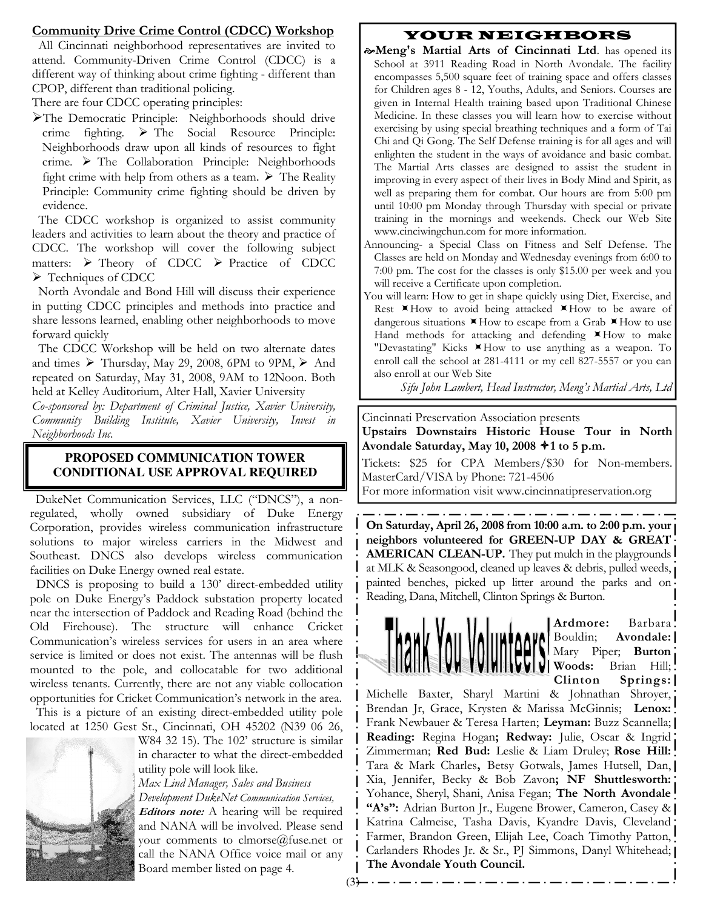### Community Drive Crime Control (CDCC) Workshop

 All Cincinnati neighborhood representatives are invited to attend. Community-Driven Crime Control (CDCC) is a different way of thinking about crime fighting - different than CPOP, different than traditional policing.

There are four CDCC operating principles:

The Democratic Principle: Neighborhoods should drive  $r = \text{righting}$ .  $\triangleright$  The Social Resource Principle: Neighborhoods draw upon all kinds of resources to fight crime.  $\triangleright$  The Collaboration Principle: Neighborhoods fight crime with help from others as a team.  $\triangleright$  The Reality Principle: Community crime fighting should be driven by evidence.

 The CDCC workshop is organized to assist community leaders and activities to learn about the theory and practice of CDCC. The workshop will cover the following subject matters:  $\triangleright$  Theory of CDCC  $\triangleright$  Practice of CDCC Techniques of CDCC

 North Avondale and Bond Hill will discuss their experience in putting CDCC principles and methods into practice and share lessons learned, enabling other neighborhoods to move forward quickly

 The CDCC Workshop will be held on two alternate dates and times  $\triangleright$  Thursday, May 29, 2008, 6PM to 9PM,  $\triangleright$  And repeated on Saturday, May 31, 2008, 9AM to 12Noon. Both held at Kelley Auditorium, Alter Hall, Xavier University

Co-sponsored by: Department of Criminal Justice, Xavier University, Community Building Institute, Xavier University, Invest in Neighborhoods Inc.

### **PROPOSED COMMUNICATION TOWER CONDITIONAL USE APPROVAL REQUIRED**

 DukeNet Communication Services, LLC ("DNCS"), a nonregulated, wholly owned subsidiary of Duke Energy Corporation, provides wireless communication infrastructure solutions to major wireless carriers in the Midwest and Southeast. DNCS also develops wireless communication facilities on Duke Energy owned real estate.

 DNCS is proposing to build a 130' direct-embedded utility pole on Duke Energy's Paddock substation property located near the intersection of Paddock and Reading Road (behind the Old Firehouse). The structure will enhance Cricket Communication's wireless services for users in an area where service is limited or does not exist. The antennas will be flush mounted to the pole, and collocatable for two additional wireless tenants. Currently, there are not any viable collocation opportunities for Cricket Communication's network in the area.

 This is a picture of an existing direct-embedded utility pole located at 1250 Gest St., Cincinnati, OH 45202 (N39 06 26,



W84 32 15). The 102' structure is similar in character to what the direct-embedded utility pole will look like.

Max Lind Manager, Sales and Business Development DukeNet Communication Services, *Editors note:* A hearing will be required and NANA will be involved. Please send your comments to clmorse@fuse.net or call the NANA Office voice mail or any Board member listed on page 4.

 $(3)$ 

# YOUR NEIGHBORS

- $\infty$ Meng's Martial Arts of Cincinnati Ltd. has opened its School at 3911 Reading Road in North Avondale. The facility encompasses 5,500 square feet of training space and offers classes for Children ages 8 - 12, Youths, Adults, and Seniors. Courses are given in Internal Health training based upon Traditional Chinese Medicine. In these classes you will learn how to exercise without exercising by using special breathing techniques and a form of Tai Chi and Qi Gong. The Self Defense training is for all ages and will enlighten the student in the ways of avoidance and basic combat. The Martial Arts classes are designed to assist the student in improving in every aspect of their lives in Body Mind and Spirit, as well as preparing them for combat. Our hours are from 5:00 pm until 10:00 pm Monday through Thursday with special or private training in the mornings and weekends. Check our Web Site www.cinciwingchun.com for more information.
- Announcing- a Special Class on Fitness and Self Defense. The Classes are held on Monday and Wednesday evenings from 6:00 to 7:00 pm. The cost for the classes is only \$15.00 per week and you will receive a Certificate upon completion.
- You will learn: How to get in shape quickly using Diet, Exercise, and Rest XHow to avoid being attacked XHow to be aware of dangerous situations  $\times$  How to escape from a Grab  $\times$  How to use Hand methods for attacking and defending XHow to make "Devastating" Kicks  $\blacktriangleright$  How to use anything as a weapon. To enroll call the school at 281-4111 or my cell 827-5557 or you can also enroll at our Web Site

Sifu John Lambert, Head Instructor, Meng's Martial Arts, Ltd

Cincinnati Preservation Association presents

Upstairs Downstairs Historic House Tour in North Avondale Saturday, May 10, 2008  $*$ 1 to 5 p.m.

Tickets: \$25 for CPA Members/\$30 for Non-members. MasterCard/VISA by Phone: 721-4506

For more information visit www.cincinnatipreservation.org

On Saturday, April 26, 2008 from 10:00 a.m. to 2:00 p.m. your neighbors volunteered for GREEN-UP DAY & GREAT **AMERICAN CLEAN-UP.** They put mulch in the playgrounds at MLK & Seasongood, cleaned up leaves & debris, pulled weeds, painted benches, picked up litter around the parks and on Reading, Dana, Mitchell, Clinton Springs & Burton.



Ardmore: Barbara Bouldin; Avondale: Mary Piper; Burton Woods: Brian Hill; Clinton Springs:

Michelle Baxter, Sharyl Martini & Johnathan Shroyer, Brendan Jr, Grace, Krysten & Marissa McGinnis; Lenox: Frank Newbauer & Teresa Harten; Leyman: Buzz Scannella; | Reading: Regina Hogan; Redway: Julie, Oscar & Ingrid Zimmerman; Red Bud: Leslie & Liam Druley; Rose Hill: Tara & Mark Charles, Betsy Gotwals, James Hutsell, Dan, Xia, Jennifer, Becky & Bob Zavon; NF Shuttlesworth: Yohance, Sheryl, Shani, Anisa Fegan; The North Avondale "A's": Adrian Burton Jr., Eugene Brower, Cameron, Casey & | Katrina Calmeise, Tasha Davis, Kyandre Davis, Cleveland Farmer, Brandon Green, Elijah Lee, Coach Timothy Patton, Carlanders Rhodes Jr. & Sr., PJ Simmons, Danyl Whitehead; | The Avondale Youth Council.

. . <u>. . . . . . . . . .</u> .